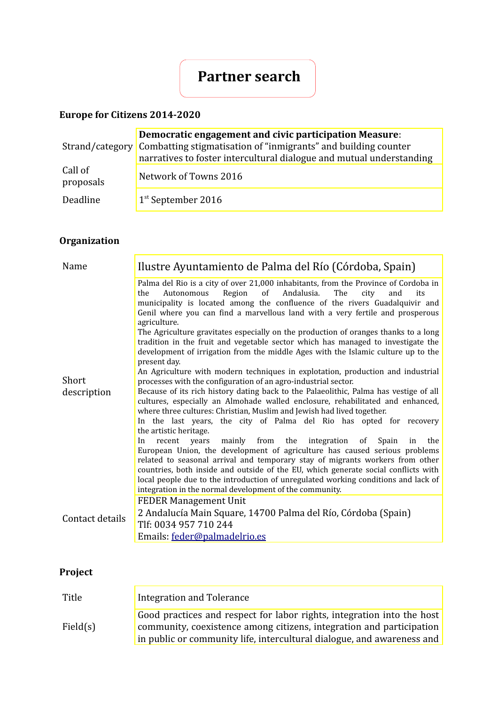# **Partner search**

### **Europe for Citizens 2014-2020**

|                      | Democratic engagement and civic participation Measure:<br>Strand/category Combatting stigmatisation of "inmigrants" and building counter<br>narratives to foster intercultural dialogue and mutual understanding |
|----------------------|------------------------------------------------------------------------------------------------------------------------------------------------------------------------------------------------------------------|
| Call of<br>proposals | Network of Towns 2016                                                                                                                                                                                            |
| Deadline             | $1st$ September 2016                                                                                                                                                                                             |

## **Organization**

| Name                 | Ilustre Ayuntamiento de Palma del Río (Córdoba, Spain)                                                                                                                                                                                                                                                                                                                                                                                                                                                               |
|----------------------|----------------------------------------------------------------------------------------------------------------------------------------------------------------------------------------------------------------------------------------------------------------------------------------------------------------------------------------------------------------------------------------------------------------------------------------------------------------------------------------------------------------------|
| Short<br>description | Palma del Rio is a city of over 21,000 inhabitants, from the Province of Cordoba in<br>of<br>Andalusia.<br>Autonomous<br>Region<br>The<br>the<br>city<br>and<br>its<br>municipality is located among the confluence of the rivers Guadalquivir and<br>Genil where you can find a marvellous land with a very fertile and prosperous<br>agriculture.                                                                                                                                                                  |
|                      | The Agriculture gravitates especially on the production of oranges thanks to a long<br>tradition in the fruit and vegetable sector which has managed to investigate the<br>development of irrigation from the middle Ages with the Islamic culture up to the<br>present day.                                                                                                                                                                                                                                         |
|                      | An Agriculture with modern techniques in explotation, production and industrial<br>processes with the configuration of an agro-industrial sector.                                                                                                                                                                                                                                                                                                                                                                    |
|                      | Because of its rich history dating back to the Palaeolithic, Palma has vestige of all<br>cultures, especially an Almohade walled enclosure, rehabilitated and enhanced,<br>where three cultures: Christian, Muslim and Jewish had lived together.<br>In the last years, the city of Palma del Rio has opted for recovery<br>the artistic heritage.<br>mainly from the<br>integration<br>recent years<br>In<br>Spain<br>the<br>of<br>in<br>European Union, the development of agriculture has caused serious problems |
|                      | related to seasonal arrival and temporary stay of migrants workers from other<br>countries, both inside and outside of the EU, which generate social conflicts with<br>local people due to the introduction of unregulated working conditions and lack of<br>integration in the normal development of the community.                                                                                                                                                                                                 |
| Contact details      | <b>FEDER Management Unit</b>                                                                                                                                                                                                                                                                                                                                                                                                                                                                                         |
|                      | 2 Andalucía Main Square, 14700 Palma del Río, Córdoba (Spain)<br>Tlf: 0034 957 710 244                                                                                                                                                                                                                                                                                                                                                                                                                               |
|                      | Emails: feder@palmadelrio.es                                                                                                                                                                                                                                                                                                                                                                                                                                                                                         |

## **Project**

| Title    | Integration and Tolerance                                                                                                                                                                                                |
|----------|--------------------------------------------------------------------------------------------------------------------------------------------------------------------------------------------------------------------------|
| Field(s) | Good practices and respect for labor rights, integration into the host<br>community, coexistence among citizens, integration and participation<br>in public or community life, intercultural dialogue, and awareness and |